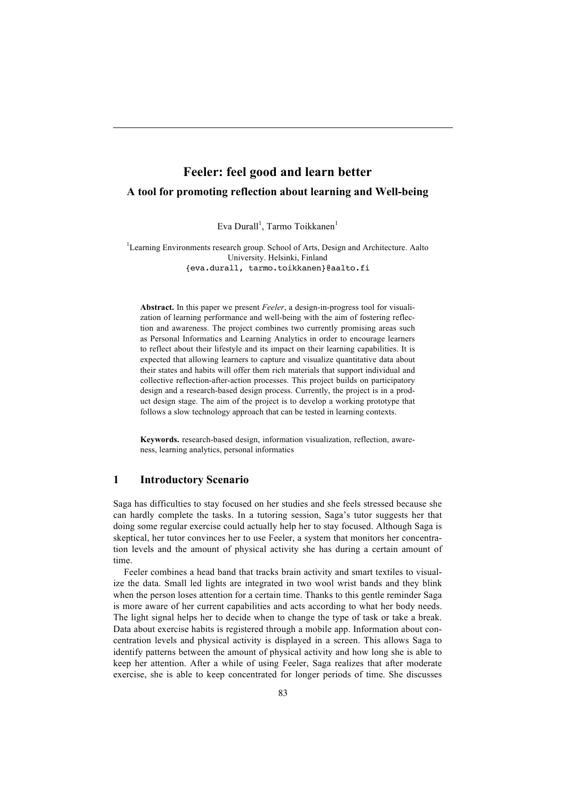# **Feeler: feel good and learn better A tool for promoting reflection about learning and Well-being**

Eva Durall<sup>1</sup>, Tarmo Toikkanen<sup>1</sup>

<sup>1</sup>Learning Environments research group. School of Arts, Design and Architecture. Aalto University. Helsinki, Finland {eva.durall, tarmo.toikkanen}@aalto.fi

**Abstract.** In this paper we present *Feeler*, a design-in-progress tool for visualization of learning performance and well-being with the aim of fostering reflection and awareness. The project combines two currently promising areas such as Personal Informatics and Learning Analytics in order to encourage learners to reflect about their lifestyle and its impact on their learning capabilities. It is expected that allowing learners to capture and visualize quantitative data about their states and habits will offer them rich materials that support individual and collective reflection-after-action processes. This project builds on participatory design and a research-based design process. Currently, the project is in a product design stage. The aim of the project is to develop a working prototype that follows a slow technology approach that can be tested in learning contexts.

**Keywords.** research-based design, information visualization, reflection, awareness, learning analytics, personal informatics

## **1 Introductory Scenario**

Saga has difficulties to stay focused on her studies and she feels stressed because she can hardly complete the tasks. In a tutoring session, Saga's tutor suggests her that doing some regular exercise could actually help her to stay focused. Although Saga is skeptical, her tutor convinces her to use Feeler, a system that monitors her concentration levels and the amount of physical activity she has during a certain amount of time.

Feeler combines a head band that tracks brain activity and smart textiles to visualize the data. Small led lights are integrated in two wool wrist bands and they blink when the person loses attention for a certain time. Thanks to this gentle reminder Saga is more aware of her current capabilities and acts according to what her body needs. The light signal helps her to decide when to change the type of task or take a break. Data about exercise habits is registered through a mobile app. Information about concentration levels and physical activity is displayed in a screen. This allows Saga to identify patterns between the amount of physical activity and how long she is able to keep her attention. After a while of using Feeler, Saga realizes that after moderate exercise, she is able to keep concentrated for longer periods of time. She discusses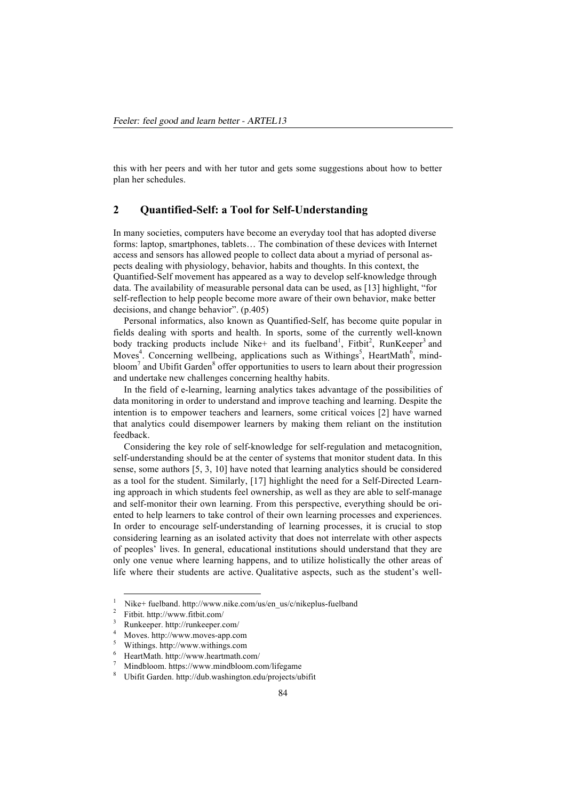this with her peers and with her tutor and gets some suggestions about how to better plan her schedules.

## **2 Quantified-Self: a Tool for Self-Understanding**

In many societies, computers have become an everyday tool that has adopted diverse forms: laptop, smartphones, tablets… The combination of these devices with Internet access and sensors has allowed people to collect data about a myriad of personal aspects dealing with physiology, behavior, habits and thoughts. In this context, the Quantified-Self movement has appeared as a way to develop self-knowledge through data. The availability of measurable personal data can be used, as [13] highlight, "for self-reflection to help people become more aware of their own behavior, make better decisions, and change behavior". (p.405)

Personal informatics, also known as Quantified-Self, has become quite popular in fields dealing with sports and health. In sports, some of the currently well-known body tracking products include Nike+ and its fuelband<sup>1</sup>, Fitbit<sup>2</sup>, RunKeeper<sup>3</sup> and Moves<sup>4</sup>. Concerning wellbeing, applications such as Withings<sup>5</sup>, HeartMath<sup>6</sup>, mindbloom<sup>7</sup> and Ubifit Garden<sup>8</sup> offer opportunities to users to learn about their progression and undertake new challenges concerning healthy habits.

In the field of e-learning, learning analytics takes advantage of the possibilities of data monitoring in order to understand and improve teaching and learning. Despite the intention is to empower teachers and learners, some critical voices [2] have warned that analytics could disempower learners by making them reliant on the institution feedback.

Considering the key role of self-knowledge for self-regulation and metacognition, self-understanding should be at the center of systems that monitor student data. In this sense, some authors [5, 3, 10] have noted that learning analytics should be considered as a tool for the student. Similarly, [17] highlight the need for a Self-Directed Learning approach in which students feel ownership, as well as they are able to self-manage and self-monitor their own learning. From this perspective, everything should be oriented to help learners to take control of their own learning processes and experiences. In order to encourage self-understanding of learning processes, it is crucial to stop considering learning as an isolated activity that does not interrelate with other aspects of peoples' lives. In general, educational institutions should understand that they are only one venue where learning happens, and to utilize holistically the other areas of life where their students are active. Qualitative aspects, such as the student's well-

-

<sup>1</sup> Nike+ fuelband. http://www.nike.com/us/en\_us/c/nikeplus-fuelband  $\overline{2}$ 

Fitbit. http://www.fitbit.com/ 3

Runkeeper. http://runkeeper.com/

<sup>4</sup> Moves. http://www.moves-app.com

<sup>5</sup> Withings. http://www.withings.com 6

HeartMath. http://www.heartmath.com/ 7

Mindbloom. https://www.mindbloom.com/lifegame

<sup>8</sup> Ubifit Garden. http://dub.washington.edu/projects/ubifit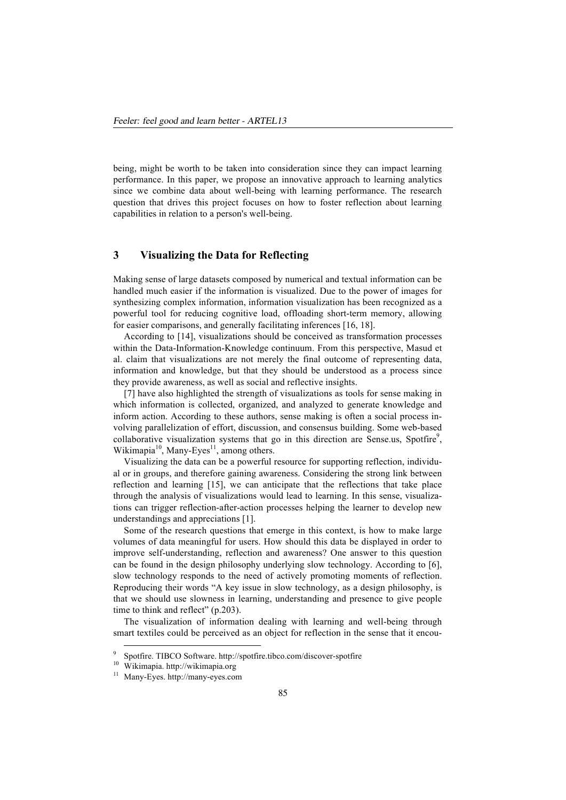being, might be worth to be taken into consideration since they can impact learning performance. In this paper, we propose an innovative approach to learning analytics since we combine data about well-being with learning performance. The research question that drives this project focuses on how to foster reflection about learning capabilities in relation to a person's well-being.

# **3 Visualizing the Data for Reflecting**

Making sense of large datasets composed by numerical and textual information can be handled much easier if the information is visualized. Due to the power of images for synthesizing complex information, information visualization has been recognized as a powerful tool for reducing cognitive load, offloading short-term memory, allowing for easier comparisons, and generally facilitating inferences [16, 18].

According to [14], visualizations should be conceived as transformation processes within the Data-Information-Knowledge continuum. From this perspective, Masud et al. claim that visualizations are not merely the final outcome of representing data, information and knowledge, but that they should be understood as a process since they provide awareness, as well as social and reflective insights.

[7] have also highlighted the strength of visualizations as tools for sense making in which information is collected, organized, and analyzed to generate knowledge and inform action. According to these authors, sense making is often a social process involving parallelization of effort, discussion, and consensus building. Some web-based collaborative visualization systems that go in this direction are Sense.us, Spotfire $9$ , Wikimapia $^{10}$ , Many-Eyes<sup>11</sup>, among others.

Visualizing the data can be a powerful resource for supporting reflection, individual or in groups, and therefore gaining awareness. Considering the strong link between reflection and learning [15], we can anticipate that the reflections that take place through the analysis of visualizations would lead to learning. In this sense, visualizations can trigger reflection-after-action processes helping the learner to develop new understandings and appreciations [1].

Some of the research questions that emerge in this context, is how to make large volumes of data meaningful for users. How should this data be displayed in order to improve self-understanding, reflection and awareness? One answer to this question can be found in the design philosophy underlying slow technology. According to [6], slow technology responds to the need of actively promoting moments of reflection. Reproducing their words "A key issue in slow technology, as a design philosophy, is that we should use slowness in learning, understanding and presence to give people time to think and reflect" (p.203).

The visualization of information dealing with learning and well-being through smart textiles could be perceived as an object for reflection in the sense that it encou-

j

<sup>9</sup> Spotfire. TIBCO Software. http://spotfire.tibco.com/discover-spotfire

<sup>&</sup>lt;sup>10</sup> Wikimapia. http://wikimapia.org

<sup>11</sup> Many-Eyes. http://many-eyes.com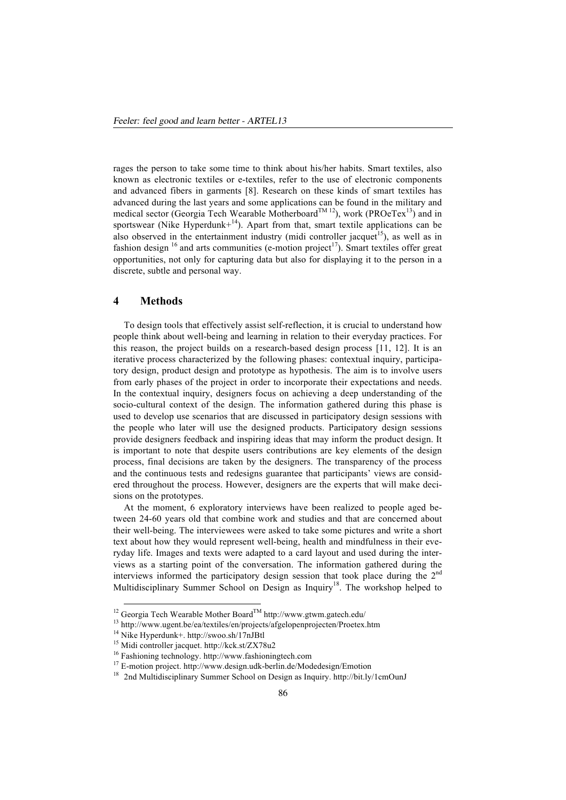rages the person to take some time to think about his/her habits. Smart textiles, also known as electronic textiles or e-textiles, refer to the use of electronic components and advanced fibers in garments [8]. Research on these kinds of smart textiles has advanced during the last years and some applications can be found in the military and medical sector (Georgia Tech Wearable Motherboard<sup>TM 12</sup>), work (PROeTex<sup>13</sup>) and in sportswear (Nike Hyperdunk+ $14$ ). Apart from that, smart textile applications can be also observed in the entertainment industry (midi controller jacquet<sup>15</sup>), as well as in fashion design  $^{16}$  and arts communities (e-motion project<sup>17</sup>). Smart textiles offer great opportunities, not only for capturing data but also for displaying it to the person in a discrete, subtle and personal way.

#### **4 Methods**

To design tools that effectively assist self-reflection, it is crucial to understand how people think about well-being and learning in relation to their everyday practices. For this reason, the project builds on a research-based design process [11, 12]. It is an iterative process characterized by the following phases: contextual inquiry, participatory design, product design and prototype as hypothesis. The aim is to involve users from early phases of the project in order to incorporate their expectations and needs. In the contextual inquiry, designers focus on achieving a deep understanding of the socio-cultural context of the design. The information gathered during this phase is used to develop use scenarios that are discussed in participatory design sessions with the people who later will use the designed products. Participatory design sessions provide designers feedback and inspiring ideas that may inform the product design. It is important to note that despite users contributions are key elements of the design process, final decisions are taken by the designers. The transparency of the process and the continuous tests and redesigns guarantee that participants' views are considered throughout the process. However, designers are the experts that will make decisions on the prototypes.

At the moment, 6 exploratory interviews have been realized to people aged between 24-60 years old that combine work and studies and that are concerned about their well-being. The interviewees were asked to take some pictures and write a short text about how they would represent well-being, health and mindfulness in their everyday life. Images and texts were adapted to a card layout and used during the interviews as a starting point of the conversation. The information gathered during the interviews informed the participatory design session that took place during the  $2<sup>nd</sup>$ Multidisciplinary Summer School on Design as Inquiry<sup>18</sup>. The workshop helped to

j

<sup>&</sup>lt;sup>12</sup> Georgia Tech Wearable Mother Board™ http://www.gtwm.gatech.edu/

<sup>13</sup> http://www.ugent.be/ea/textiles/en/projects/afgelopenprojecten/Proetex.htm

<sup>14</sup> Nike Hyperdunk+. http://swoo.sh/17nJBtl

<sup>15</sup> Midi controller jacquet. http://kck.st/ZX78u2

<sup>16</sup> Fashioning technology. http://www.fashioningtech.com

<sup>17</sup> E-motion project. http://www.design.udk-berlin.de/Modedesign/Emotion

<sup>&</sup>lt;sup>18</sup> 2nd Multidisciplinary Summer School on Design as Inquiry. http://bit.ly/1cmOunJ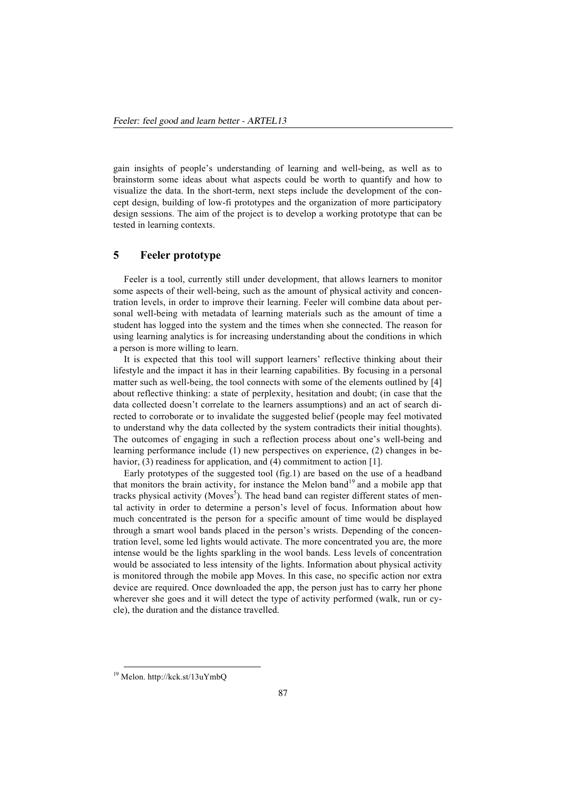gain insights of people's understanding of learning and well-being, as well as to brainstorm some ideas about what aspects could be worth to quantify and how to visualize the data. In the short-term, next steps include the development of the concept design, building of low-fi prototypes and the organization of more participatory design sessions. The aim of the project is to develop a working prototype that can be tested in learning contexts.

# **5 Feeler prototype**

Feeler is a tool, currently still under development, that allows learners to monitor some aspects of their well-being, such as the amount of physical activity and concentration levels, in order to improve their learning. Feeler will combine data about personal well-being with metadata of learning materials such as the amount of time a student has logged into the system and the times when she connected. The reason for using learning analytics is for increasing understanding about the conditions in which a person is more willing to learn.

It is expected that this tool will support learners' reflective thinking about their lifestyle and the impact it has in their learning capabilities. By focusing in a personal matter such as well-being, the tool connects with some of the elements outlined by [4] about reflective thinking: a state of perplexity, hesitation and doubt; (in case that the data collected doesn't correlate to the learners assumptions) and an act of search directed to corroborate or to invalidate the suggested belief (people may feel motivated to understand why the data collected by the system contradicts their initial thoughts). The outcomes of engaging in such a reflection process about one's well-being and learning performance include (1) new perspectives on experience, (2) changes in behavior, (3) readiness for application, and (4) commitment to action [1].

Early prototypes of the suggested tool (fig.1) are based on the use of a headband that monitors the brain activity, for instance the Melon band<sup>19</sup> and a mobile app that tracks physical activity (Moves<sup>5</sup>). The head band can register different states of mental activity in order to determine a person's level of focus. Information about how much concentrated is the person for a specific amount of time would be displayed through a smart wool bands placed in the person's wrists. Depending of the concentration level, some led lights would activate. The more concentrated you are, the more intense would be the lights sparkling in the wool bands. Less levels of concentration would be associated to less intensity of the lights. Information about physical activity is monitored through the mobile app Moves. In this case, no specific action nor extra device are required. Once downloaded the app, the person just has to carry her phone wherever she goes and it will detect the type of activity performed (walk, run or cycle), the duration and the distance travelled.

j

<sup>19</sup> Melon. http://kck.st/13uYmbQ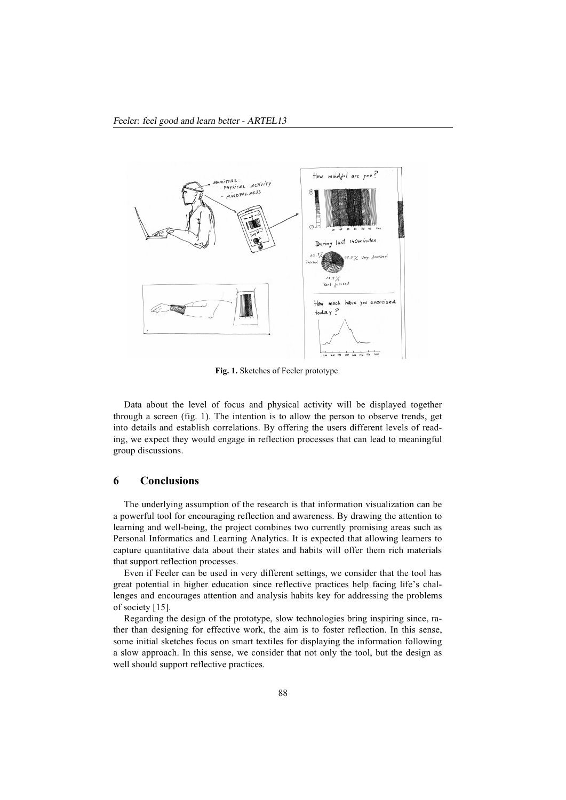

**Fig. 1.** Sketches of Feeler prototype.

Data about the level of focus and physical activity will be displayed together through a screen (fig. 1). The intention is to allow the person to observe trends, get into details and establish correlations. By offering the users different levels of reading, we expect they would engage in reflection processes that can lead to meaningful group discussions.

# **6 Conclusions**

The underlying assumption of the research is that information visualization can be a powerful tool for encouraging reflection and awareness. By drawing the attention to learning and well-being, the project combines two currently promising areas such as Personal Informatics and Learning Analytics. It is expected that allowing learners to capture quantitative data about their states and habits will offer them rich materials that support reflection processes.

Even if Feeler can be used in very different settings, we consider that the tool has great potential in higher education since reflective practices help facing life's challenges and encourages attention and analysis habits key for addressing the problems of society [15].

Regarding the design of the prototype, slow technologies bring inspiring since, rather than designing for effective work, the aim is to foster reflection. In this sense, some initial sketches focus on smart textiles for displaying the information following a slow approach. In this sense, we consider that not only the tool, but the design as well should support reflective practices.